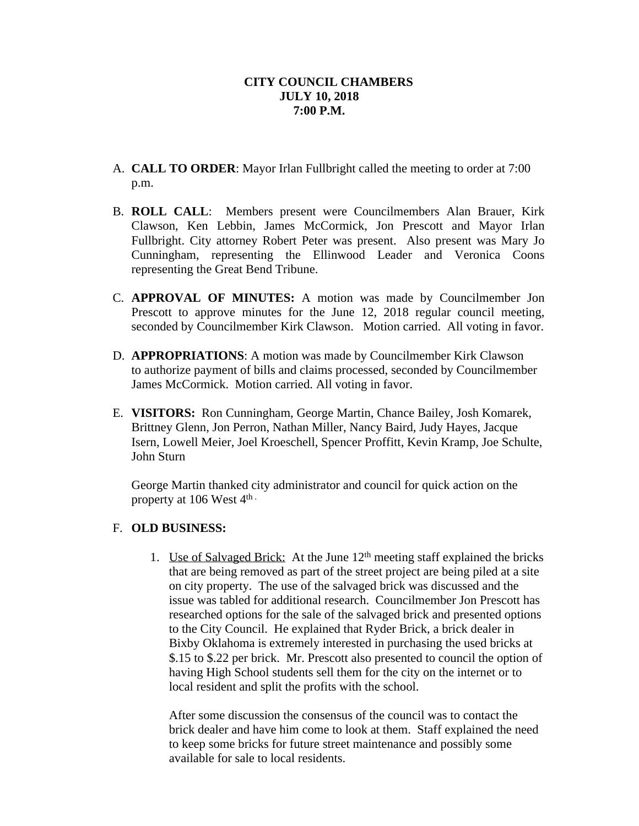- A. **CALL TO ORDER**: Mayor Irlan Fullbright called the meeting to order at 7:00 p.m.
- B. **ROLL CALL**: Members present were Councilmembers Alan Brauer, Kirk Clawson, Ken Lebbin, James McCormick, Jon Prescott and Mayor Irlan Fullbright. City attorney Robert Peter was present. Also present was Mary Jo Cunningham, representing the Ellinwood Leader and Veronica Coons representing the Great Bend Tribune.
- C. **APPROVAL OF MINUTES:** A motion was made by Councilmember Jon Prescott to approve minutes for the June 12, 2018 regular council meeting, seconded by Councilmember Kirk Clawson. Motion carried. All voting in favor.
- D. **APPROPRIATIONS**: A motion was made by Councilmember Kirk Clawson to authorize payment of bills and claims processed, seconded by Councilmember James McCormick. Motion carried. All voting in favor.
- E. **VISITORS:** Ron Cunningham, George Martin, Chance Bailey, Josh Komarek, Brittney Glenn, Jon Perron, Nathan Miller, Nancy Baird, Judy Hayes, Jacque Isern, Lowell Meier, Joel Kroeschell, Spencer Proffitt, Kevin Kramp, Joe Schulte, John Sturn

George Martin thanked city administrator and council for quick action on the property at 106 West  $4^{\text{th}}$ .

## F. **OLD BUSINESS:**

1. Use of Salvaged Brick: At the June  $12<sup>th</sup>$  meeting staff explained the bricks that are being removed as part of the street project are being piled at a site on city property. The use of the salvaged brick was discussed and the issue was tabled for additional research. Councilmember Jon Prescott has researched options for the sale of the salvaged brick and presented options to the City Council. He explained that Ryder Brick, a brick dealer in Bixby Oklahoma is extremely interested in purchasing the used bricks at \$.15 to \$.22 per brick. Mr. Prescott also presented to council the option of having High School students sell them for the city on the internet or to local resident and split the profits with the school.

After some discussion the consensus of the council was to contact the brick dealer and have him come to look at them. Staff explained the need to keep some bricks for future street maintenance and possibly some available for sale to local residents.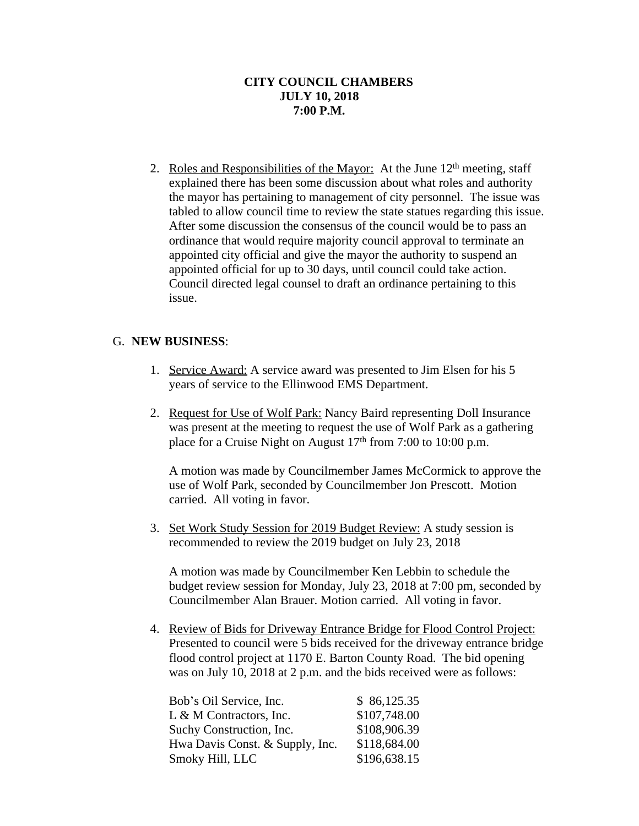2. Roles and Responsibilities of the Mayor: At the June  $12<sup>th</sup>$  meeting, staff explained there has been some discussion about what roles and authority the mayor has pertaining to management of city personnel. The issue was tabled to allow council time to review the state statues regarding this issue. After some discussion the consensus of the council would be to pass an ordinance that would require majority council approval to terminate an appointed city official and give the mayor the authority to suspend an appointed official for up to 30 days, until council could take action. Council directed legal counsel to draft an ordinance pertaining to this issue.

## G. **NEW BUSINESS**:

- 1. Service Award: A service award was presented to Jim Elsen for his 5 years of service to the Ellinwood EMS Department.
- 2. Request for Use of Wolf Park: Nancy Baird representing Doll Insurance was present at the meeting to request the use of Wolf Park as a gathering place for a Cruise Night on August 17<sup>th</sup> from 7:00 to 10:00 p.m.

A motion was made by Councilmember James McCormick to approve the use of Wolf Park, seconded by Councilmember Jon Prescott. Motion carried. All voting in favor.

3. Set Work Study Session for 2019 Budget Review: A study session is recommended to review the 2019 budget on July 23, 2018

A motion was made by Councilmember Ken Lebbin to schedule the budget review session for Monday, July 23, 2018 at 7:00 pm, seconded by Councilmember Alan Brauer. Motion carried. All voting in favor.

4. Review of Bids for Driveway Entrance Bridge for Flood Control Project: Presented to council were 5 bids received for the driveway entrance bridge flood control project at 1170 E. Barton County Road. The bid opening was on July 10, 2018 at 2 p.m. and the bids received were as follows:

| Bob's Oil Service, Inc.         | \$86,125.35  |
|---------------------------------|--------------|
| L & M Contractors, Inc.         | \$107,748.00 |
| Suchy Construction, Inc.        | \$108,906.39 |
| Hwa Davis Const. & Supply, Inc. | \$118,684.00 |
| Smoky Hill, LLC                 | \$196,638.15 |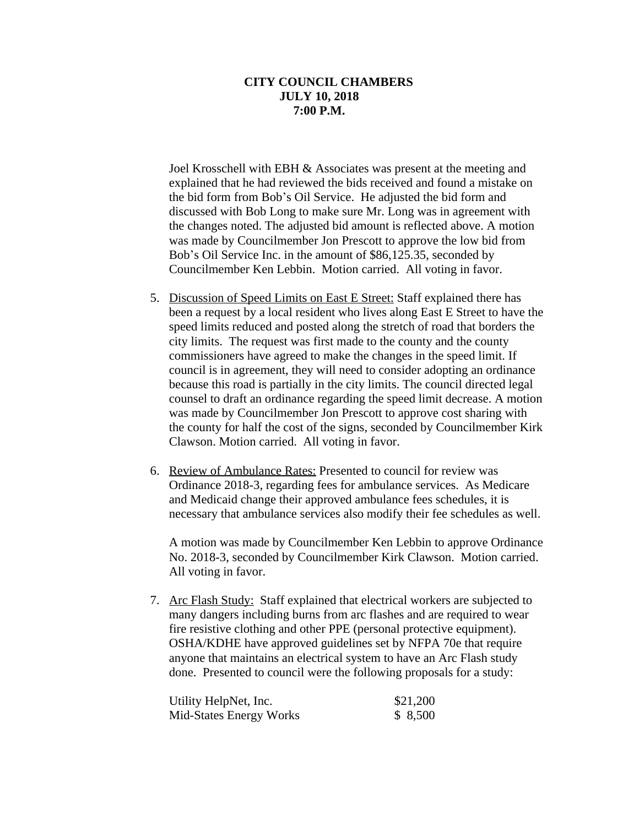Joel Krosschell with EBH & Associates was present at the meeting and explained that he had reviewed the bids received and found a mistake on the bid form from Bob's Oil Service. He adjusted the bid form and discussed with Bob Long to make sure Mr. Long was in agreement with the changes noted. The adjusted bid amount is reflected above. A motion was made by Councilmember Jon Prescott to approve the low bid from Bob's Oil Service Inc. in the amount of \$86,125.35, seconded by Councilmember Ken Lebbin. Motion carried. All voting in favor.

- 5. Discussion of Speed Limits on East E Street: Staff explained there has been a request by a local resident who lives along East E Street to have the speed limits reduced and posted along the stretch of road that borders the city limits. The request was first made to the county and the county commissioners have agreed to make the changes in the speed limit. If council is in agreement, they will need to consider adopting an ordinance because this road is partially in the city limits. The council directed legal counsel to draft an ordinance regarding the speed limit decrease. A motion was made by Councilmember Jon Prescott to approve cost sharing with the county for half the cost of the signs, seconded by Councilmember Kirk Clawson. Motion carried. All voting in favor.
- 6. Review of Ambulance Rates: Presented to council for review was Ordinance 2018-3, regarding fees for ambulance services. As Medicare and Medicaid change their approved ambulance fees schedules, it is necessary that ambulance services also modify their fee schedules as well.

A motion was made by Councilmember Ken Lebbin to approve Ordinance No. 2018-3, seconded by Councilmember Kirk Clawson. Motion carried. All voting in favor.

7. Arc Flash Study: Staff explained that electrical workers are subjected to many dangers including burns from arc flashes and are required to wear fire resistive clothing and other PPE (personal protective equipment). OSHA/KDHE have approved guidelines set by NFPA 70e that require anyone that maintains an electrical system to have an Arc Flash study done. Presented to council were the following proposals for a study:

| Utility HelpNet, Inc.   | \$21,200 |
|-------------------------|----------|
| Mid-States Energy Works | \$ 8,500 |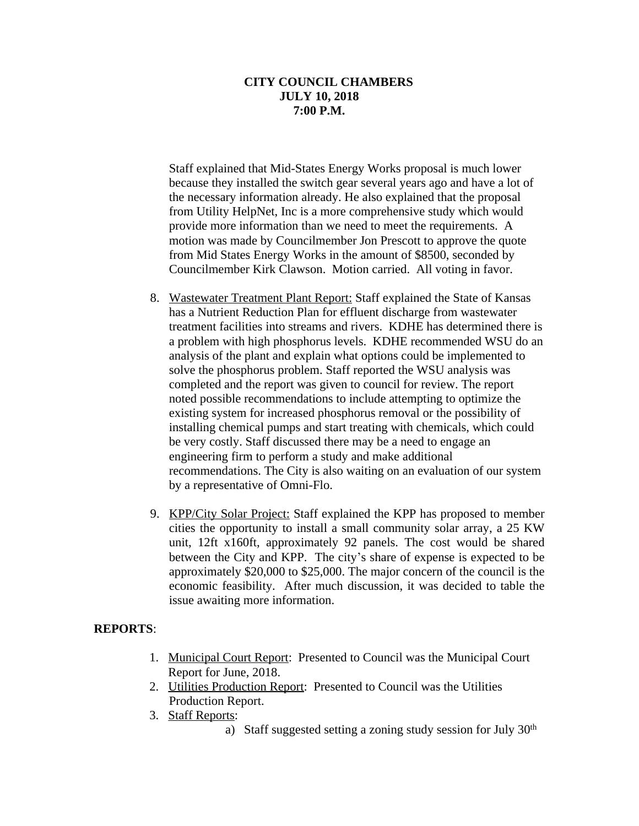Staff explained that Mid-States Energy Works proposal is much lower because they installed the switch gear several years ago and have a lot of the necessary information already. He also explained that the proposal from Utility HelpNet, Inc is a more comprehensive study which would provide more information than we need to meet the requirements. A motion was made by Councilmember Jon Prescott to approve the quote from Mid States Energy Works in the amount of \$8500, seconded by Councilmember Kirk Clawson. Motion carried. All voting in favor.

- 8. Wastewater Treatment Plant Report: Staff explained the State of Kansas has a Nutrient Reduction Plan for effluent discharge from wastewater treatment facilities into streams and rivers. KDHE has determined there is a problem with high phosphorus levels. KDHE recommended WSU do an analysis of the plant and explain what options could be implemented to solve the phosphorus problem. Staff reported the WSU analysis was completed and the report was given to council for review. The report noted possible recommendations to include attempting to optimize the existing system for increased phosphorus removal or the possibility of installing chemical pumps and start treating with chemicals, which could be very costly. Staff discussed there may be a need to engage an engineering firm to perform a study and make additional recommendations. The City is also waiting on an evaluation of our system by a representative of Omni-Flo.
- 9. KPP/City Solar Project: Staff explained the KPP has proposed to member cities the opportunity to install a small community solar array, a 25 KW unit, 12ft x160ft, approximately 92 panels. The cost would be shared between the City and KPP. The city's share of expense is expected to be approximately \$20,000 to \$25,000. The major concern of the council is the economic feasibility. After much discussion, it was decided to table the issue awaiting more information.

# **REPORTS**:

- 1. Municipal Court Report: Presented to Council was the Municipal Court Report for June, 2018.
- 2. Utilities Production Report: Presented to Council was the Utilities Production Report.
- 3. Staff Reports:
	- a) Staff suggested setting a zoning study session for July 30<sup>th</sup>